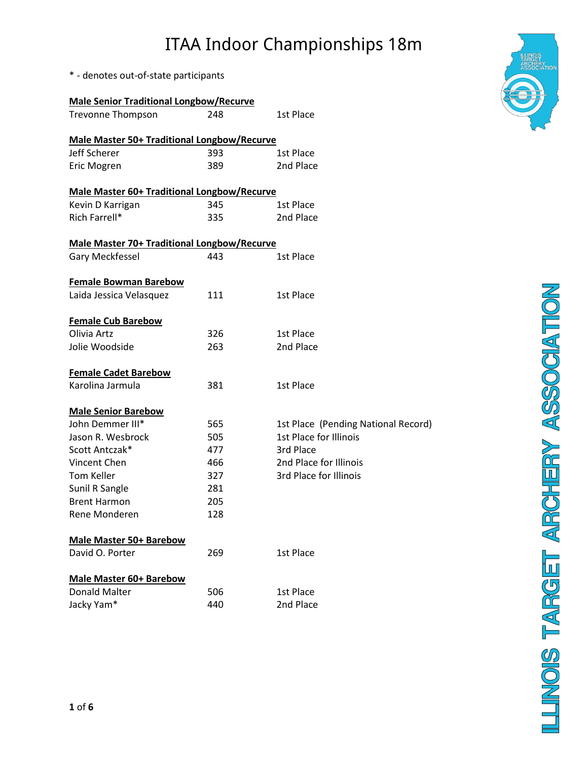\* - denotes out-of-state participants

| <b>Male Senior Traditional Longbow/Recurve</b>     |     |                                     |
|----------------------------------------------------|-----|-------------------------------------|
| <b>Trevonne Thompson</b>                           | 248 | 1st Place                           |
| <b>Male Master 50+ Traditional Longbow/Recurve</b> |     |                                     |
| Jeff Scherer                                       | 393 | 1st Place                           |
| Eric Mogren                                        | 389 | 2nd Place                           |
|                                                    |     |                                     |
| <b>Male Master 60+ Traditional Longbow/Recurve</b> |     |                                     |
| Kevin D Karrigan                                   | 345 | 1st Place                           |
| Rich Farrell*                                      | 335 | 2nd Place                           |
| <b>Male Master 70+ Traditional Longbow/Recurve</b> |     |                                     |
| Gary Meckfessel                                    | 443 | 1st Place                           |
|                                                    |     |                                     |
| <b>Female Bowman Barebow</b>                       |     |                                     |
| Laida Jessica Velasquez                            | 111 | 1st Place                           |
|                                                    |     |                                     |
| <b>Female Cub Barebow</b>                          |     |                                     |
| Olivia Artz                                        | 326 | 1st Place                           |
| Jolie Woodside                                     | 263 | 2nd Place                           |
| <b>Female Cadet Barebow</b>                        |     |                                     |
| Karolina Jarmula                                   | 381 | 1st Place                           |
|                                                    |     |                                     |
| <b>Male Senior Barebow</b>                         |     |                                     |
| John Demmer III*                                   | 565 | 1st Place (Pending National Record) |
| Jason R. Wesbrock                                  | 505 | 1st Place for Illinois              |
| Scott Antczak*                                     | 477 | 3rd Place                           |
| Vincent Chen                                       | 466 | 2nd Place for Illinois              |
| Tom Keller                                         | 327 | 3rd Place for Illinois              |
| Sunil R Sangle                                     | 281 |                                     |
| <b>Brent Harmon</b>                                | 205 |                                     |
| Rene Monderen                                      | 128 |                                     |
| <b>Male Master 50+ Barebow</b>                     |     |                                     |
| David O. Porter                                    | 269 | 1st Place                           |
|                                                    |     |                                     |
| <b>Male Master 60+ Barebow</b>                     |     |                                     |
| Donald Malter                                      | 506 | 1st Place                           |
| Jacky Yam*                                         | 440 | 2nd Place                           |

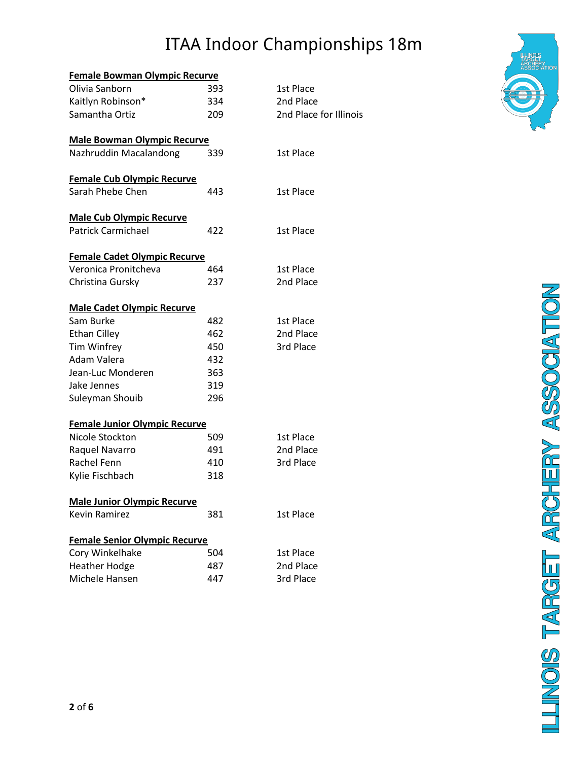| <b>Female Bowman Olympic Recurve</b> |     |                        |
|--------------------------------------|-----|------------------------|
| Olivia Sanborn                       | 393 | 1st Place              |
| Kaitlyn Robinson*                    | 334 | 2nd Place              |
| Samantha Ortiz                       | 209 | 2nd Place for Illinois |
| <b>Male Bowman Olympic Recurve</b>   |     |                        |
| Nazhruddin Macalandong               | 339 | 1st Place              |
| <b>Female Cub Olympic Recurve</b>    |     |                        |
| Sarah Phebe Chen                     | 443 | 1st Place              |
| <b>Male Cub Olympic Recurve</b>      |     |                        |
| <b>Patrick Carmichael</b>            | 422 | 1st Place              |
| <b>Female Cadet Olympic Recurve</b>  |     |                        |
| Veronica Pronitcheva                 | 464 | 1st Place              |
| Christina Gursky                     | 237 | 2nd Place              |
| <b>Male Cadet Olympic Recurve</b>    |     |                        |
| Sam Burke                            | 482 | 1st Place              |
| <b>Ethan Cilley</b>                  | 462 | 2nd Place              |
| <b>Tim Winfrey</b>                   | 450 | 3rd Place              |
| Adam Valera                          | 432 |                        |
| Jean-Luc Monderen                    | 363 |                        |
| Jake Jennes                          | 319 |                        |
| Suleyman Shouib                      | 296 |                        |
| <b>Female Junior Olympic Recurve</b> |     |                        |
| Nicole Stockton                      | 509 | 1st Place              |
| Raquel Navarro                       | 491 | 2nd Place              |
| Rachel Fenn                          | 410 | 3rd Place              |
| Kylie Fischbach                      | 318 |                        |
| <b>Male Junior Olympic Recurve</b>   |     |                        |
| Kevin Ramirez                        | 381 | 1st Place              |
| <b>Female Senior Olympic Recurve</b> |     |                        |
| Cory Winkelhake                      | 504 | 1st Place              |
| <b>Heather Hodge</b>                 | 487 | 2nd Place              |
| Michele Hansen                       | 447 | 3rd Place              |

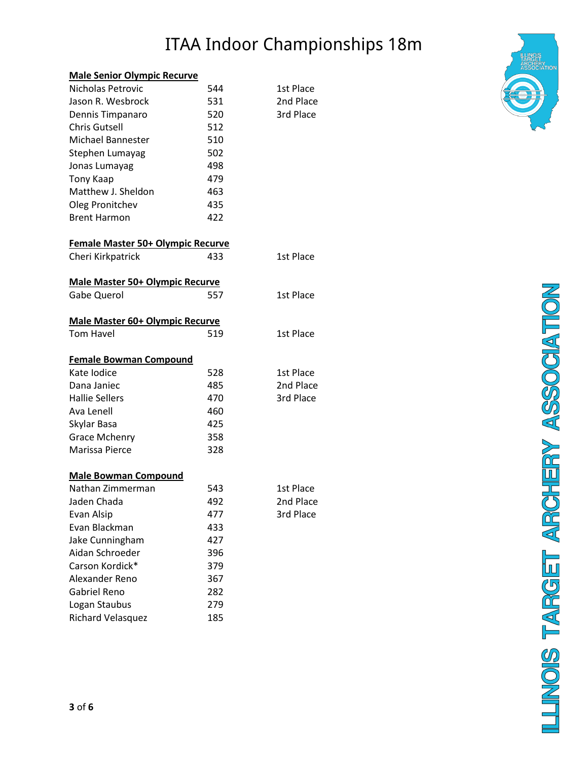#### **Male Senior Olympic Recurve**

| Nicholas Petrovic                      | 544 | 1st Place |
|----------------------------------------|-----|-----------|
| Jason R. Wesbrock                      | 531 | 2nd Place |
| Dennis Timpanaro                       | 520 | 3rd Place |
| <b>Chris Gutsell</b>                   | 512 |           |
| Michael Bannester                      | 510 |           |
| Stephen Lumayag                        | 502 |           |
| Jonas Lumayag                          | 498 |           |
| Tony Kaap                              | 479 |           |
| Matthew J. Sheldon                     | 463 |           |
| Oleg Pronitchev                        | 435 |           |
| <b>Brent Harmon</b>                    | 422 |           |
| Female Master 50+ Olympic Recurve      |     |           |
| Cheri Kirkpatrick                      | 433 | 1st Place |
| <b>Male Master 50+ Olympic Recurve</b> |     |           |
| <b>Gabe Querol</b>                     | 557 | 1st Place |
| <b>Male Master 60+ Olympic Recurve</b> |     |           |
| Tom Havel                              | 519 | 1st Place |
| <b>Female Bowman Compound</b>          |     |           |
| Kate Iodice                            | 528 | 1st Place |
| Dana Janiec                            | 485 | 2nd Place |
| <b>Hallie Sellers</b>                  | 470 | 3rd Place |
| Ava Lenell                             | 460 |           |
| Skylar Basa                            | 425 |           |
| <b>Grace Mchenry</b>                   | 358 |           |
| Marissa Pierce                         | 328 |           |
| <b>Male Bowman Compound</b>            |     |           |
| Nathan Zimmerman                       | 543 | 1st Place |
| Jaden Chada                            | 492 | 2nd Place |
| Evan Alsip                             | 477 | 3rd Place |
| Evan Blackman                          | 433 |           |
| Jake Cunningham                        | 427 |           |
| Aidan Schroeder                        | 396 |           |
| Carson Kordick*                        | 379 |           |
| Alexander Reno                         | 367 |           |
| <b>Gabriel Reno</b>                    | 282 |           |
| Logan Staubus                          | 279 |           |
| <b>Richard Velasquez</b>               | 185 |           |

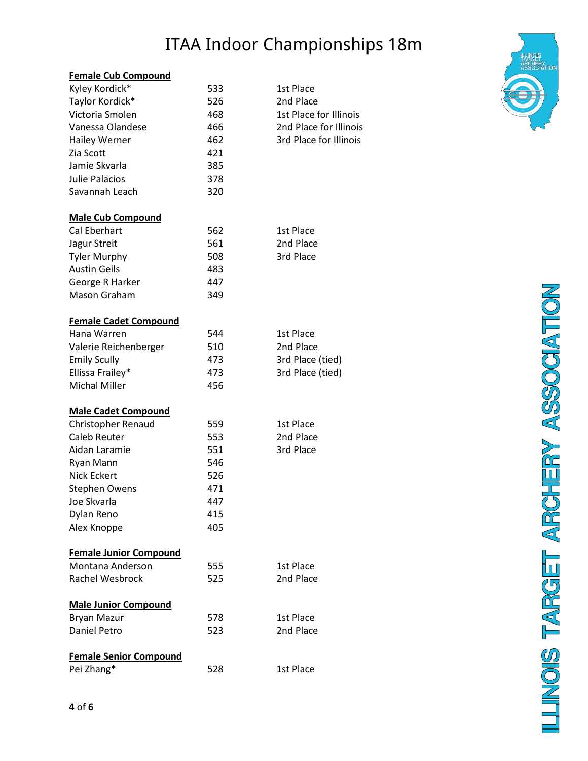#### **Female Cub Compound**

| Kyley Kordick*                | 533 | 1st Place              |
|-------------------------------|-----|------------------------|
| Taylor Kordick*               | 526 | 2nd Place              |
| Victoria Smolen               | 468 | 1st Place for Illinois |
| Vanessa Olandese              | 466 | 2nd Place for Illinois |
| <b>Hailey Werner</b>          | 462 | 3rd Place for Illinois |
| Zia Scott                     | 421 |                        |
| Jamie Skvarla                 | 385 |                        |
| <b>Julie Palacios</b>         | 378 |                        |
| Savannah Leach                | 320 |                        |
| <b>Male Cub Compound</b>      |     |                        |
| Cal Eberhart                  | 562 | 1st Place              |
| Jagur Streit                  | 561 | 2nd Place              |
| <b>Tyler Murphy</b>           | 508 | 3rd Place              |
| <b>Austin Geils</b>           | 483 |                        |
| George R Harker               | 447 |                        |
| <b>Mason Graham</b>           | 349 |                        |
| <b>Female Cadet Compound</b>  |     |                        |
| Hana Warren                   | 544 | 1st Place              |
| Valerie Reichenberger         | 510 | 2nd Place              |
| <b>Emily Scully</b>           | 473 | 3rd Place (tied)       |
| Ellissa Frailey*              | 473 | 3rd Place (tied)       |
| <b>Michal Miller</b>          | 456 |                        |
| <b>Male Cadet Compound</b>    |     |                        |
| <b>Christopher Renaud</b>     | 559 | 1st Place              |
| Caleb Reuter                  | 553 | 2nd Place              |
| Aidan Laramie                 | 551 | 3rd Place              |
| Ryan Mann                     | 546 |                        |
| <b>Nick Eckert</b>            | 526 |                        |
| <b>Stephen Owens</b>          | 471 |                        |
| Joe Skvarla                   | 447 |                        |
| Dylan Reno                    | 415 |                        |
| Alex Knoppe                   | 405 |                        |
| <b>Female Junior Compound</b> |     |                        |
| Montana Anderson              | 555 | 1st Place              |
| <b>Rachel Wesbrock</b>        | 525 | 2nd Place              |
| <b>Male Junior Compound</b>   |     |                        |
| <b>Bryan Mazur</b>            | 578 | 1st Place              |
| <b>Daniel Petro</b>           | 523 | 2nd Place              |
| <b>Female Senior Compound</b> |     |                        |
| Pei Zhang*                    | 528 | 1st Place              |
|                               |     |                        |

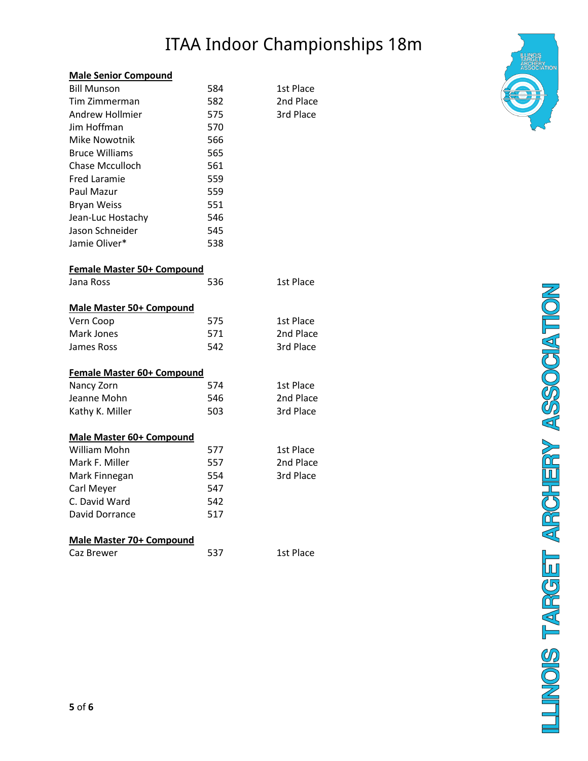#### **Male Senior Compound**

| <b>Bill Munson</b>              | 584 | 1st Place |
|---------------------------------|-----|-----------|
| Tim Zimmerman                   | 582 | 2nd Place |
| Andrew Hollmier                 | 575 | 3rd Place |
| Jim Hoffman                     | 570 |           |
| <b>Mike Nowotnik</b>            | 566 |           |
| <b>Bruce Williams</b>           | 565 |           |
| <b>Chase Mcculloch</b>          | 561 |           |
| <b>Fred Laramie</b>             | 559 |           |
| Paul Mazur                      | 559 |           |
| <b>Bryan Weiss</b>              | 551 |           |
| Jean-Luc Hostachy               | 546 |           |
| Jason Schneider                 | 545 |           |
| Jamie Oliver*                   | 538 |           |
| Female Master 50+ Compound      |     |           |
| Jana Ross                       | 536 | 1st Place |
| <b>Male Master 50+ Compound</b> |     |           |
| Vern Coop                       | 575 | 1st Place |
| Mark Jones                      | 571 | 2nd Place |
| James Ross                      | 542 | 3rd Place |
| Female Master 60+ Compound      |     |           |
| Nancy Zorn                      | 574 | 1st Place |
| Jeanne Mohn                     | 546 | 2nd Place |
| Kathy K. Miller                 | 503 | 3rd Place |
| <b>Male Master 60+ Compound</b> |     |           |
| <b>William Mohn</b>             | 577 | 1st Place |
| Mark F. Miller                  | 557 | 2nd Place |
| Mark Finnegan                   | 554 | 3rd Place |
| Carl Meyer                      | 547 |           |
| C. David Ward                   | 542 |           |
| David Dorrance                  | 517 |           |
| <b>Male Master 70+ Compound</b> |     |           |
| Caz Brewer                      | 537 | 1st Place |